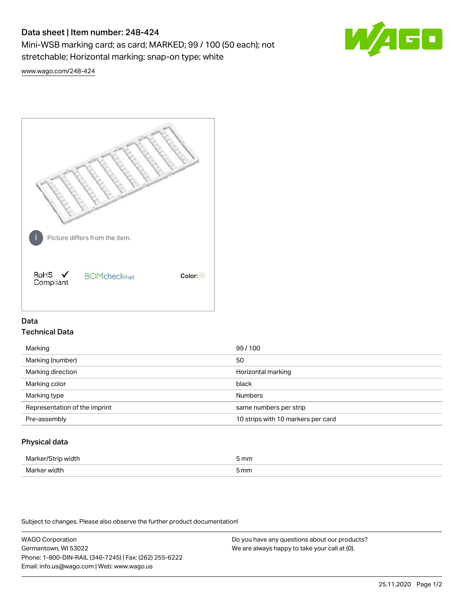# Data sheet | Item number: 248-424

Mini-WSB marking card; as card; MARKED; 99 / 100 (50 each); not stretchable; Horizontal marking; snap-on type; white



[www.wago.com/248-424](http://www.wago.com/248-424)



# Data Technical Data

| Marking                       | 99/100                             |
|-------------------------------|------------------------------------|
| Marking (number)              | 50                                 |
| Marking direction             | Horizontal marking                 |
| Marking color                 | black                              |
| Marking type                  | <b>Numbers</b>                     |
| Representation of the imprint | same numbers per strip             |
| Pre-assembly                  | 10 strips with 10 markers per card |
|                               |                                    |

# Physical data

| Mar                      | 5 mm |
|--------------------------|------|
| M <sub>cr</sub><br>width | 5 mm |

Subject to changes. Please also observe the further product documentation!

WAGO Corporation Germantown, WI 53022 Phone: 1-800-DIN-RAIL (346-7245) | Fax: (262) 255-6222 Email: info.us@wago.com | Web: www.wago.us Do you have any questions about our products? We are always happy to take your call at {0}.